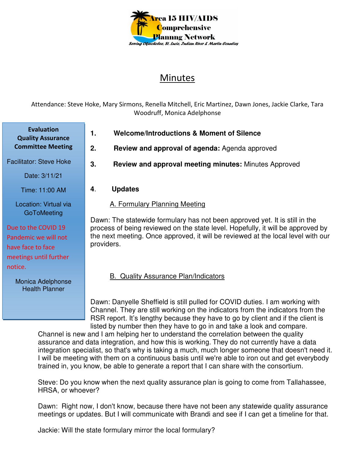

# Minutes

Attendance: Steve Hoke, Mary Sirmons, Renella Mitchell, Eric Martinez, Dawn Jones, Jackie Clarke, Tara Woodruff, Monica Adelphonse

**Evaluation Quality Assurance Committee Meeting**

Facilitator: Steve Hoke

Date: 3/11/21

Time: 11:00 AM

Location: Virtual via **GoToMeeting** 

Due to the COVID 19 Pandemic we will not have face to face meetings until further notice.

> Monica Adelphonse Health Planner

- **1. Welcome/Introductions & Moment of Silence**
- **2. Review and approval of agenda:** Agenda approved
- **3. Review and approval meeting minutes:** Minutes Approved
- **4**. **Updates**

#### A. Formulary Planning Meeting

Dawn: The statewide formulary has not been approved yet. It is still in the process of being reviewed on the state level. Hopefully, it will be approved by the next meeting. Once approved, it will be reviewed at the local level with our providers.

#### B. Quality Assurance Plan/Indicators

Dawn: Danyelle Sheffield is still pulled for COVID duties. I am working with Channel. They are still working on the indicators from the indicators from the RSR report. It's lengthy because they have to go by client and if the client is listed by number then they have to go in and take a look and compare.

Channel is new and I am helping her to understand the correlation between the quality assurance and data integration, and how this is working. They do not currently have a data integration specialist, so that's why is taking a much, much longer someone that doesn't need it. I will be meeting with them on a continuous basis until we're able to iron out and get everybody trained in, you know, be able to generate a report that I can share with the consortium.

Steve: Do you know when the next quality assurance plan is going to come from Tallahassee, HRSA, or whoever?

Dawn: Right now, I don't know, because there have not been any statewide quality assurance meetings or updates. But I will communicate with Brandi and see if I can get a timeline for that.

Jackie: Will the state formulary mirror the local formulary?